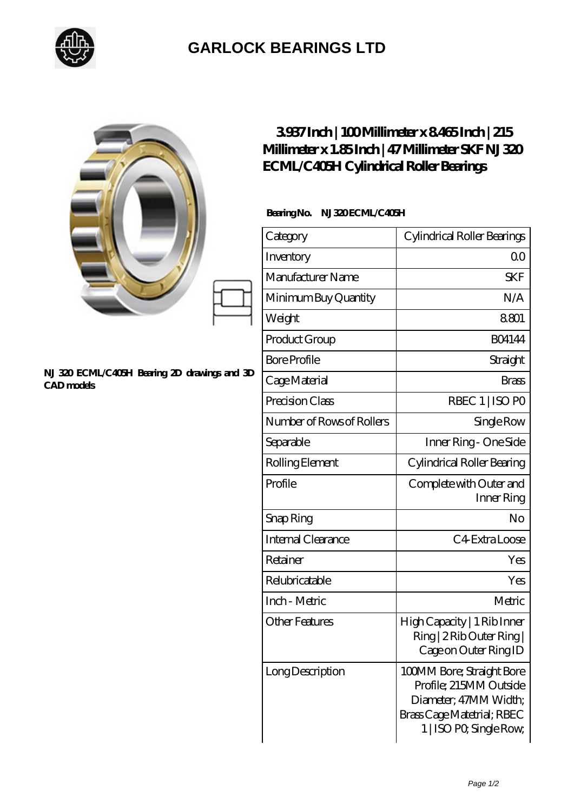

## **[GARLOCK BEARINGS LTD](https://m.letterstopriests.com)**

|                                                            | 3937Inch   100Millimeter x 8465Inch   215<br>Millimeter x 1.85 Inch   47 Millimeter SKF NJ320<br>ECML/C405H Cylindrical Roller Bearings |                                                                                                                                       |
|------------------------------------------------------------|-----------------------------------------------------------------------------------------------------------------------------------------|---------------------------------------------------------------------------------------------------------------------------------------|
| NJ 320 ECML/C405H Bearing 2D drawings and 3D<br>CAD models | BearingNo.<br>NJ320ECML/C405H                                                                                                           |                                                                                                                                       |
|                                                            | Category                                                                                                                                | Cylindrical Roller Bearings                                                                                                           |
|                                                            | Inventory                                                                                                                               | 0 <sup>0</sup>                                                                                                                        |
|                                                            | Manufacturer Name                                                                                                                       | <b>SKF</b>                                                                                                                            |
|                                                            | Minimum Buy Quantity                                                                                                                    | N/A                                                                                                                                   |
|                                                            | Weight                                                                                                                                  | 8801                                                                                                                                  |
|                                                            | Product Group                                                                                                                           | <b>BO4144</b>                                                                                                                         |
|                                                            | <b>Bore Profile</b>                                                                                                                     | Straight                                                                                                                              |
|                                                            | Cage Material                                                                                                                           | <b>Brass</b>                                                                                                                          |
|                                                            | Precision Class                                                                                                                         | RBEC 1   ISO PO                                                                                                                       |
|                                                            | Number of Rows of Rollers                                                                                                               | Single Row                                                                                                                            |
|                                                            | Separable                                                                                                                               | Inner Ring - One Side                                                                                                                 |
|                                                            | Rolling Element                                                                                                                         | Cylindrical Roller Bearing                                                                                                            |
|                                                            | Profile                                                                                                                                 | Complete with Outer and<br>Inner Ring                                                                                                 |
|                                                            | Snap Ring                                                                                                                               | No                                                                                                                                    |
|                                                            | Internal Clearance                                                                                                                      | C4 Extra Loose                                                                                                                        |
|                                                            | Retainer                                                                                                                                | Yes                                                                                                                                   |
|                                                            | Relubricatable                                                                                                                          | Yes                                                                                                                                   |
|                                                            | Inch - Metric                                                                                                                           | Metric                                                                                                                                |
|                                                            | <b>Other Features</b>                                                                                                                   | High Capacity   1 Rib Inner<br>Ring   2 Rib Outer Ring  <br>Cage on Outer Ring ID                                                     |
|                                                            | Long Description                                                                                                                        | 100MM Bore; Straight Bore<br>Profile; 215MM Outside<br>Diameter; 47MM Width;<br>Brass Cage Matetrial; RBEC<br>1   ISO PO, Single Row, |